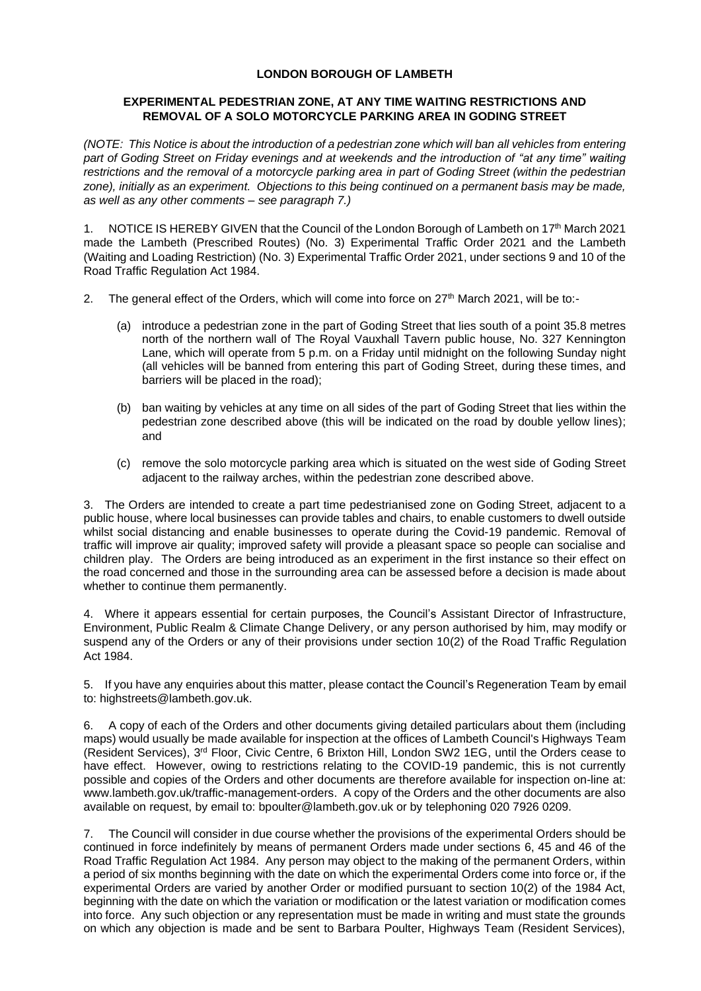## **LONDON BOROUGH OF LAMBETH**

## **EXPERIMENTAL PEDESTRIAN ZONE, AT ANY TIME WAITING RESTRICTIONS AND REMOVAL OF A SOLO MOTORCYCLE PARKING AREA IN GODING STREET**

*(NOTE: This Notice is about the introduction of a pedestrian zone which will ban all vehicles from entering part of Goding Street on Friday evenings and at weekends and the introduction of "at any time" waiting restrictions and the removal of a motorcycle parking area in part of Goding Street (within the pedestrian zone), initially as an experiment. Objections to this being continued on a permanent basis may be made, as well as any other comments – see paragraph 7.)*

1. NOTICE IS HEREBY GIVEN that the Council of the London Borough of Lambeth on 17<sup>th</sup> March 2021 made the Lambeth (Prescribed Routes) (No. 3) Experimental Traffic Order 2021 and the Lambeth (Waiting and Loading Restriction) (No. 3) Experimental Traffic Order 2021, under sections 9 and 10 of the Road Traffic Regulation Act 1984.

- 2. The general effect of the Orders, which will come into force on 27<sup>th</sup> March 2021, will be to:-
	- (a) introduce a pedestrian zone in the part of Goding Street that lies south of a point 35.8 metres north of the northern wall of The Royal Vauxhall Tavern public house, No. 327 Kennington Lane, which will operate from 5 p.m. on a Friday until midnight on the following Sunday night (all vehicles will be banned from entering this part of Goding Street, during these times, and barriers will be placed in the road);
	- (b) ban waiting by vehicles at any time on all sides of the part of Goding Street that lies within the pedestrian zone described above (this will be indicated on the road by double yellow lines); and
	- (c) remove the solo motorcycle parking area which is situated on the west side of Goding Street adjacent to the railway arches, within the pedestrian zone described above.

3. The Orders are intended to create a part time pedestrianised zone on Goding Street, adjacent to a public house, where local businesses can provide tables and chairs, to enable customers to dwell outside whilst social distancing and enable businesses to operate during the Covid-19 pandemic. Removal of traffic will improve air quality; improved safety will provide a pleasant space so people can socialise and children play. The Orders are being introduced as an experiment in the first instance so their effect on the road concerned and those in the surrounding area can be assessed before a decision is made about whether to continue them permanently.

4. Where it appears essential for certain purposes, the Council's Assistant Director of Infrastructure, Environment, Public Realm & Climate Change Delivery, or any person authorised by him, may modify or suspend any of the Orders or any of their provisions under section 10(2) of the Road Traffic Regulation Act 1984.

5. If you have any enquiries about this matter, please contact the Council's Regeneration Team by email to: highstreets@lambeth.gov.uk.

6. A copy of each of the Orders and other documents giving detailed particulars about them (including maps) would usually be made available for inspection at the offices of Lambeth Council's Highways Team (Resident Services), 3rd Floor, Civic Centre, 6 Brixton Hill, London SW2 1EG, until the Orders cease to have effect. However, owing to restrictions relating to the COVID-19 pandemic, this is not currently possible and copies of the Orders and other documents are therefore available for inspection on-line at: [www.lambeth.gov.uk/traffic-management-orders.](https://eur01.safelinks.protection.outlook.com/?url=http%3A%2F%2Fwww.lambeth.gov.uk%2Ftraffic-management-orders&data=02%7C01%7CHazel.Game%40projectcentre.co.uk%7Cdb2cc4466d98464379e108d8228a177f%7C3734172ae82a4ac7a3d302949970d5e6%7C0%7C0%7C637297323791658621&sdata=%2F9T0mTHJshTJ2XJRn1W8ejKPOCPyu4ImJy8Y%2BVrLotM%3D&reserved=0) A copy of the Orders and the other documents are also available on request, by email to: [bpoulter@lambeth.gov.uk](mailto:bpoulter@lambeth.gov.uk) or by telephoning 020 7926 0209.

7. The Council will consider in due course whether the provisions of the experimental Orders should be continued in force indefinitely by means of permanent Orders made under sections 6, 45 and 46 of the Road Traffic Regulation Act 1984. Any person may object to the making of the permanent Orders, within a period of six months beginning with the date on which the experimental Orders come into force or, if the experimental Orders are varied by another Order or modified pursuant to section 10(2) of the 1984 Act, beginning with the date on which the variation or modification or the latest variation or modification comes into force. Any such objection or any representation must be made in writing and must state the grounds on which any objection is made and be sent to Barbara Poulter, Highways Team (Resident Services),